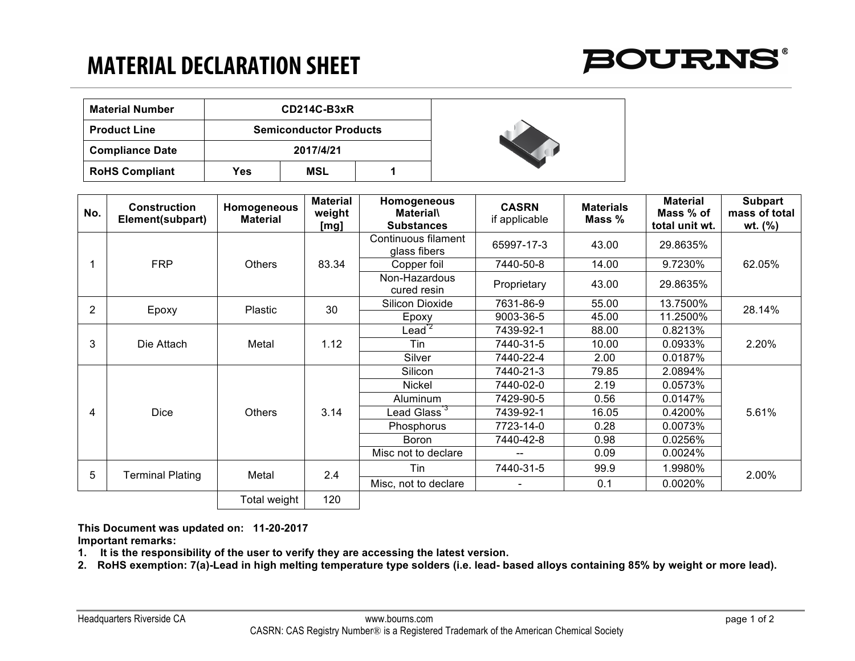## **MATERIAL DECLARATION SHEET**



| <b>Material Number</b> | $CD214C-B3xR$                 |     |  |  |  |
|------------------------|-------------------------------|-----|--|--|--|
| <b>Product Line</b>    | <b>Semiconductor Products</b> |     |  |  |  |
| <b>Compliance Date</b> | 2017/4/21                     |     |  |  |  |
| <b>RoHS Compliant</b>  | Yes                           | MSL |  |  |  |



| No.            | <b>Construction</b><br>Element(subpart) | Homogeneous<br><b>Material</b> | <b>Material</b><br>weight<br>[mg] | Homogeneous<br><b>Material</b><br><b>Substances</b> | <b>CASRN</b><br>if applicable | <b>Materials</b><br>Mass % | <b>Material</b><br>Mass % of<br>total unit wt. | <b>Subpart</b><br>mass of total<br>wt. $(%)$ |
|----------------|-----------------------------------------|--------------------------------|-----------------------------------|-----------------------------------------------------|-------------------------------|----------------------------|------------------------------------------------|----------------------------------------------|
|                | <b>FRP</b>                              | Others                         | 83.34                             | Continuous filament<br>glass fibers                 | 65997-17-3                    | 43.00                      | 29.8635%                                       | 62.05%                                       |
|                |                                         |                                |                                   | Copper foil                                         | 7440-50-8                     | 14.00                      | 9.7230%                                        |                                              |
|                |                                         |                                |                                   | Non-Hazardous<br>cured resin                        | Proprietary                   | 43.00                      | 29.8635%                                       |                                              |
| $\overline{2}$ | Epoxy                                   | Plastic                        | 30                                | Silicon Dioxide                                     | 7631-86-9                     | 55.00                      | 13.7500%                                       | 28.14%                                       |
|                |                                         |                                |                                   | Epoxy                                               | 9003-36-5                     | 45.00                      | 11.2500%                                       |                                              |
| 3              | Die Attach                              | Metal                          | 1.12                              | $\text{lead}^{\mathsf{r2}}$                         | 7439-92-1                     | 88.00                      | 0.8213%                                        | 2.20%                                        |
|                |                                         |                                |                                   | Tin                                                 | 7440-31-5                     | 10.00                      | 0.0933%                                        |                                              |
|                |                                         |                                |                                   | Silver                                              | 7440-22-4                     | 2.00                       | 0.0187%                                        |                                              |
| 4              | <b>Dice</b>                             | <b>Others</b>                  | 3.14                              | Silicon                                             | 7440-21-3                     | 79.85                      | 2.0894%                                        | 5.61%                                        |
|                |                                         |                                |                                   | Nickel                                              | 7440-02-0                     | 2.19                       | 0.0573%                                        |                                              |
|                |                                         |                                |                                   | Aluminum                                            | 7429-90-5                     | 0.56                       | 0.0147%                                        |                                              |
|                |                                         |                                |                                   | Lead Glass $^{\rm 73}$                              | 7439-92-1                     | 16.05                      | 0.4200%                                        |                                              |
|                |                                         |                                |                                   | Phosphorus                                          | 7723-14-0                     | 0.28                       | 0.0073%                                        |                                              |
|                |                                         |                                |                                   | <b>Boron</b>                                        | 7440-42-8                     | 0.98                       | 0.0256%                                        |                                              |
|                |                                         |                                |                                   | Misc not to declare                                 |                               | 0.09                       | 0.0024%                                        |                                              |
| 5              | Terminal Plating                        | Metal                          | 2.4                               | Tin                                                 | 7440-31-5                     | 99.9                       | 1.9980%                                        | 2.00%                                        |
|                |                                         |                                |                                   | Misc, not to declare                                |                               | 0.1                        | 0.0020%                                        |                                              |
|                |                                         | Total weight                   | 120                               |                                                     |                               |                            |                                                |                                              |

**This Document was updated on: 11-20-2017 Important remarks:**

**1. It is the responsibility of the user to verify they are accessing the latest version.**

**2. RoHS exemption: 7(a)-Lead in high melting temperature type solders (i.e. lead- based alloys containing 85% by weight or more lead).**